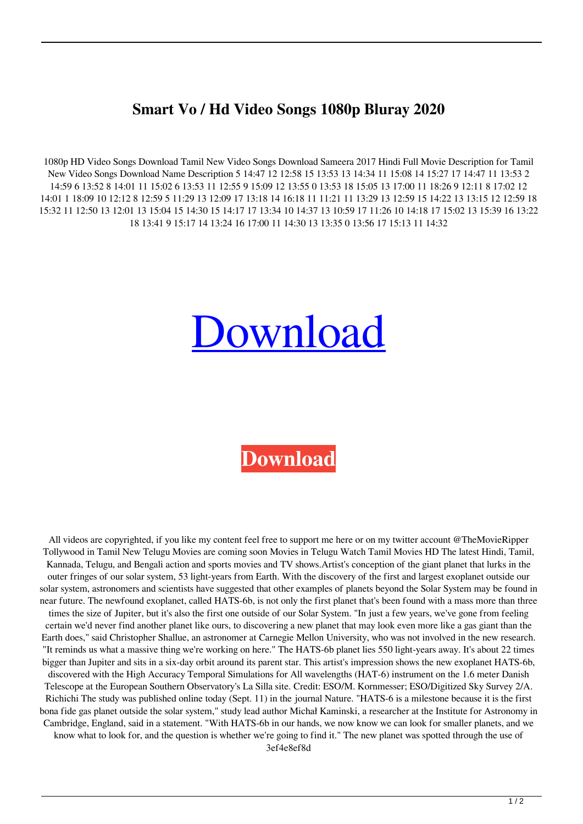## **Smart Vo / Hd Video Songs 1080p Bluray 2020**

1080p HD Video Songs Download Tamil New Video Songs Download Sameera 2017 Hindi Full Movie Description for Tamil New Video Songs Download Name Description 5 14:47 12 12:58 15 13:53 13 14:34 11 15:08 14 15:27 17 14:47 11 13:53 2 14:59 6 13:52 8 14:01 11 15:02 6 13:53 11 12:55 9 15:09 12 13:55 0 13:53 18 15:05 13 17:00 11 18:26 9 12:11 8 17:02 12 14:01 1 18:09 10 12:12 8 12:59 5 11:29 13 12:09 17 13:18 14 16:18 11 11:21 11 13:29 13 12:59 15 14:22 13 13:15 12 12:59 18 15:32 11 12:50 13 12:01 13 15:04 15 14:30 15 14:17 17 13:34 10 14:37 13 10:59 17 11:26 10 14:18 17 15:02 13 15:39 16 13:22 18 13:41 9 15:17 14 13:24 16 17:00 11 14:30 13 13:35 0 13:56 17 15:13 11 14:32

## [Download](https://urluss.com/2kyxg4)

## **[Download](https://urluss.com/2kyxg4)**

All videos are copyrighted, if you like my content feel free to support me here or on my twitter account @TheMovieRipper Tollywood in Tamil New Telugu Movies are coming soon Movies in Telugu Watch Tamil Movies HD The latest Hindi, Tamil, Kannada, Telugu, and Bengali action and sports movies and TV shows.Artist's conception of the giant planet that lurks in the outer fringes of our solar system, 53 light-years from Earth. With the discovery of the first and largest exoplanet outside our solar system, astronomers and scientists have suggested that other examples of planets beyond the Solar System may be found in near future. The newfound exoplanet, called HATS-6b, is not only the first planet that's been found with a mass more than three times the size of Jupiter, but it's also the first one outside of our Solar System. "In just a few years, we've gone from feeling certain we'd never find another planet like ours, to discovering a new planet that may look even more like a gas giant than the Earth does," said Christopher Shallue, an astronomer at Carnegie Mellon University, who was not involved in the new research. "It reminds us what a massive thing we're working on here." The HATS-6b planet lies 550 light-years away. It's about 22 times bigger than Jupiter and sits in a six-day orbit around its parent star. This artist's impression shows the new exoplanet HATS-6b, discovered with the High Accuracy Temporal Simulations for All wavelengths (HAT-6) instrument on the 1.6 meter Danish Telescope at the European Southern Observatory's La Silla site. Credit: ESO/M. Kornmesser; ESO/Digitized Sky Survey 2/A. Richichi The study was published online today (Sept. 11) in the journal Nature. "HATS-6 is a milestone because it is the first bona fide gas planet outside the solar system," study lead author Michał Kaminski, a researcher at the Institute for Astronomy in Cambridge, England, said in a statement. "With HATS-6b in our hands, we now know we can look for smaller planets, and we know what to look for, and the question is whether we're going to find it." The new planet was spotted through the use of 3ef4e8ef8d